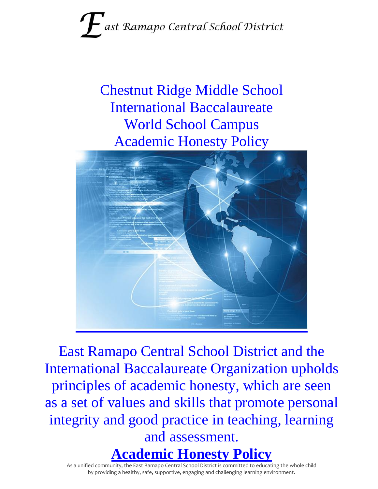# ast Ramapo Central School District

Chestnut Ridge Middle School International Baccalaureate World School Campus Academic Honesty Policy



East Ramapo Central School District and the International Baccalaureate Organization upholds principles of academic honesty, which are seen as a set of values and skills that promote personal integrity and good practice in teaching, learning and assessment.

**Academic Honesty Policy**

As a unified community, the East Ramapo Central School District is committed to educating the whole child by providing a healthy, safe, supportive, engaging and challenging learning environment.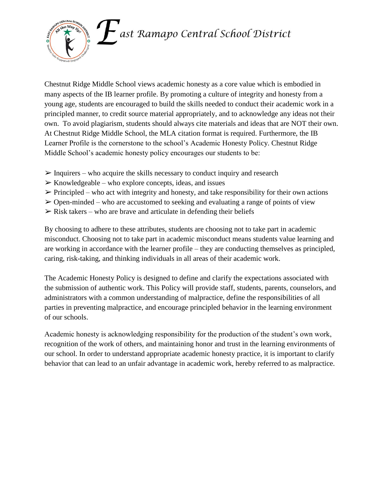

Chestnut Ridge Middle School views academic honesty as a core value which is embodied in many aspects of the IB learner profile. By promoting a culture of integrity and honesty from a young age, students are encouraged to build the skills needed to conduct their academic work in a principled manner, to credit source material appropriately, and to acknowledge any ideas not their own. To avoid plagiarism, students should always cite materials and ideas that are NOT their own. At Chestnut Ridge Middle School, the MLA citation format is required. Furthermore, the IB Learner Profile is the cornerstone to the school's Academic Honesty Policy. Chestnut Ridge Middle School's academic honesty policy encourages our students to be:

- $\triangleright$  Inquirers who acquire the skills necessary to conduct inquiry and research
- $\triangleright$  Knowledgeable who explore concepts, ideas, and issues
- $\triangleright$  Principled who act with integrity and honesty, and take responsibility for their own actions
- $\geq$  Open-minded who are accustomed to seeking and evaluating a range of points of view
- $\triangleright$  Risk takers who are brave and articulate in defending their beliefs

By choosing to adhere to these attributes, students are choosing not to take part in academic misconduct. Choosing not to take part in academic misconduct means students value learning and are working in accordance with the learner profile – they are conducting themselves as principled, caring, risk-taking, and thinking individuals in all areas of their academic work.

The Academic Honesty Policy is designed to define and clarify the expectations associated with the submission of authentic work. This Policy will provide staff, students, parents, counselors, and administrators with a common understanding of malpractice, define the responsibilities of all parties in preventing malpractice, and encourage principled behavior in the learning environment of our schools.

Academic honesty is acknowledging responsibility for the production of the student's own work, recognition of the work of others, and maintaining honor and trust in the learning environments of our school. In order to understand appropriate academic honesty practice, it is important to clarify behavior that can lead to an unfair advantage in academic work, hereby referred to as malpractice.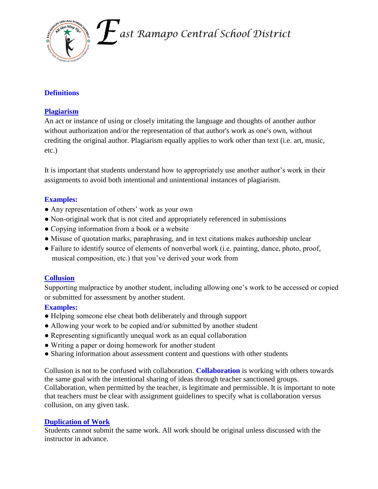

 $\boldsymbol{F}$ ast Ramapo Central School District

### **Definitions**

#### **Plagiarism**

An act or instance of using or closely imitating the language and thoughts of another author without authorization and/or the representation of that author's work as one's own, without crediting the original author. Plagiarism equally applies to work other than text (i.e. art, music, etc.)

It is important that students understand how to appropriately use another author's work in their assignments to avoid both intentional and unintentional instances of plagiarism.

#### **Examples:**

- Any representation of others' work as your own
- Non-original work that is not cited and appropriately referenced in submissions
- Copying information from a book or a website
- Misuse of quotation marks, paraphrasing, and in text citations makes authorship unclear
- Failure to identify source of elements of nonverbal work (i.e. painting, dance, photo, proof, musical composition, etc.) that you've derived your work from

#### **Collusion**

Supporting malpractice by another student, including allowing one's work to be accessed or copied or submitted for assessment by another student.

#### **Examples:**

- Helping someone else cheat both deliberately and through support
- Allowing your work to be copied and/or submitted by another student
- Representing significantly unequal work as an equal collaboration
- Writing a paper or doing homework for another student
- Sharing information about assessment content and questions with other students

Collusion is not to be confused with collaboration. **Collaboration** is working with others towards the same goal with the intentional sharing of ideas through teacher sanctioned groups. Collaboration, when permitted by the teacher, is legitimate and permissible. It is important to note that teachers must be clear with assignment guidelines to specify what is collaboration versus collusion, on any given task.

#### **Duplication of Work**

Students cannot submit the same work. All work should be original unless discussed with the instructor in advance.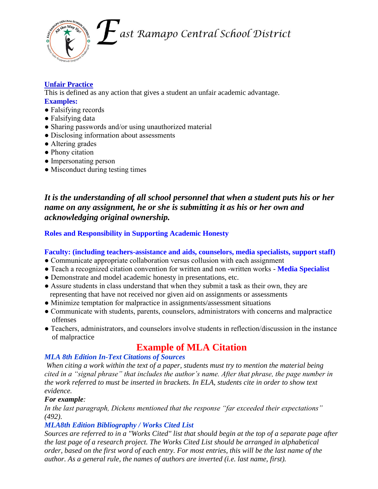

ast Ramapo Central School District

## **Unfair Practice**

This is defined as any action that gives a student an unfair academic advantage. **Examples:** 

- Falsifying records
- Falsifying data
- Sharing passwords and/or using unauthorized material
- Disclosing information about assessments
- Altering grades
- Phony citation
- Impersonating person
- Misconduct during testing times

*It is the understanding of all school personnel that when a student puts his or her name on any assignment, he or she is submitting it as his or her own and acknowledging original ownership.*

#### **Roles and Responsibility in Supporting Academic Honesty**

#### **Faculty: (including teachers-assistance and aids, counselors, media specialists, support staff)**

- Communicate appropriate collaboration versus collusion with each assignment
- Teach a recognized citation convention for written and non -written works **Media Specialist**
- Demonstrate and model academic honesty in presentations, etc.
- Assure students in class understand that when they submit a task as their own, they are representing that have not received nor given aid on assignments or assessments
- Minimize temptation for malpractice in assignments/assessment situations
- Communicate with students, parents, counselors, administrators with concerns and malpractice offenses
- Teachers, administrators, and counselors involve students in reflection/discussion in the instance of malpractice

# **Example of MLA Citation**

#### *MLA 8th Edition In-Text Citations of Sources*

*When citing a work within the text of a paper, students must try to mention the material being cited in a "signal phrase" that includes the author's name. After that phrase, the page number in the work referred to must be inserted in brackets. In ELA, students cite in order to show text evidence.*

#### *For example:*

*In the last paragraph, Dickens mentioned that the response "far exceeded their expectations" (492).* 

#### *MLA8th Edition Bibliography / Works Cited List*

*Sources are referred to in a "Works Cited" list that should begin at the top of a separate page after the last page of a research project. The Works Cited List should be arranged in alphabetical order, based on the first word of each entry. For most entries, this will be the last name of the author. As a general rule, the names of authors are inverted (i.e. last name, first).*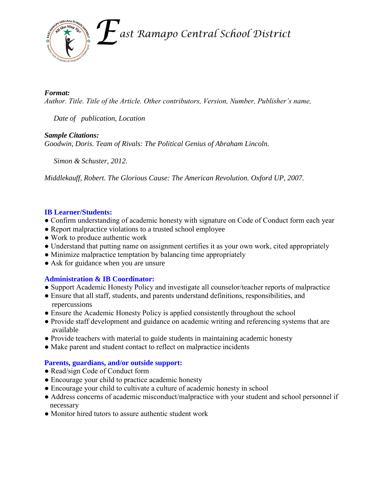

#### *Format:*

*Author. Title. Title of the Article. Other contributors, Version, Number, Publisher's name,* 

 *Date of publication, Location*

#### *Sample Citations:*

*Goodwin, Doris. Team of Rivals: The Political Genius of Abraham Lincoln.*

 *Simon & Schuster, 2012.*

*Middlekauff, Robert. The Glorious Cause: The American Revolution. Oxford UP, 2007.* 

#### **IB Learner/Students:**

- Confirm understanding of academic honesty with signature on Code of Conduct form each year
- Report malpractice violations to a trusted school employee
- Work to produce authentic work
- Understand that putting name on assignment certifies it as your own work, cited appropriately
- Minimize malpractice temptation by balancing time appropriately
- Ask for guidance when you are unsure

#### **Administration & IB Coordinator:**

- Support Academic Honesty Policy and investigate all counselor/teacher reports of malpractice
- Ensure that all staff, students, and parents understand definitions, responsibilities, and repercussions
- Ensure the Academic Honesty Policy is applied consistently throughout the school
- Provide staff development and guidance on academic writing and referencing systems that are available
- Provide teachers with material to guide students in maintaining academic honesty
- Make parent and student contact to reflect on malpractice incidents

#### **Parents, guardians, and/or outside support:**

- Read/sign Code of Conduct form
- Encourage your child to practice academic honesty
- Encourage your child to cultivate a culture of academic honesty in school
- Address concerns of academic misconduct/malpractice with your student and school personnel if necessary
- Monitor hired tutors to assure authentic student work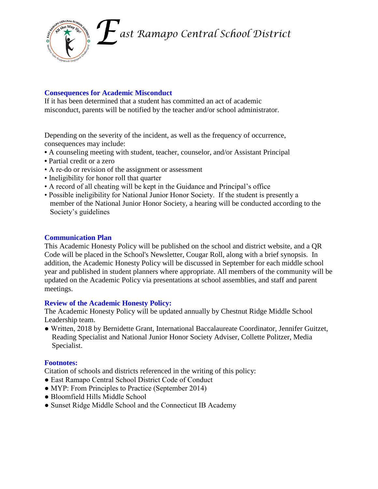ast Ramapo Central School District



#### **Consequences for Academic Misconduct**

If it has been determined that a student has committed an act of academic misconduct, parents will be notified by the teacher and/or school administrator.

Depending on the severity of the incident, as well as the frequency of occurrence, consequences may include:

- A counseling meeting with student, teacher, counselor, and/or Assistant Principal
- **•** Partial credit or a zero
- A re-do or revision of the assignment or assessment
- Ineligibility for honor roll that quarter
- A record of all cheating will be kept in the Guidance and Principal's office
- Possible ineligibility for National Junior Honor Society. If the student is presently a member of the National Junior Honor Society, a hearing will be conducted according to the Society's guidelines

#### **Communication Plan**

This Academic Honesty Policy will be published on the school and district website, and a QR Code will be placed in the School's Newsletter, Cougar Roll, along with a brief synopsis. In addition, the Academic Honesty Policy will be discussed in September for each middle school year and published in student planners where appropriate. All members of the community will be updated on the Academic Policy via presentations at school assemblies, and staff and parent meetings.

#### **Review of the Academic Honesty Policy:**

The Academic Honesty Policy will be updated annually by Chestnut Ridge Middle School Leadership team.

● Written, 2018 by Bernidette Grant, International Baccalaureate Coordinator, Jennifer Guitzet, Reading Specialist and National Junior Honor Society Adviser, Collette Politzer, Media Specialist.

#### **Footnotes:**

Citation of schools and districts referenced in the writing of this policy:

- East Ramapo Central School District Code of Conduct
- MYP: From Principles to Practice (September 2014)
- Bloomfield Hills Middle School
- Sunset Ridge Middle School and the Connecticut IB Academy